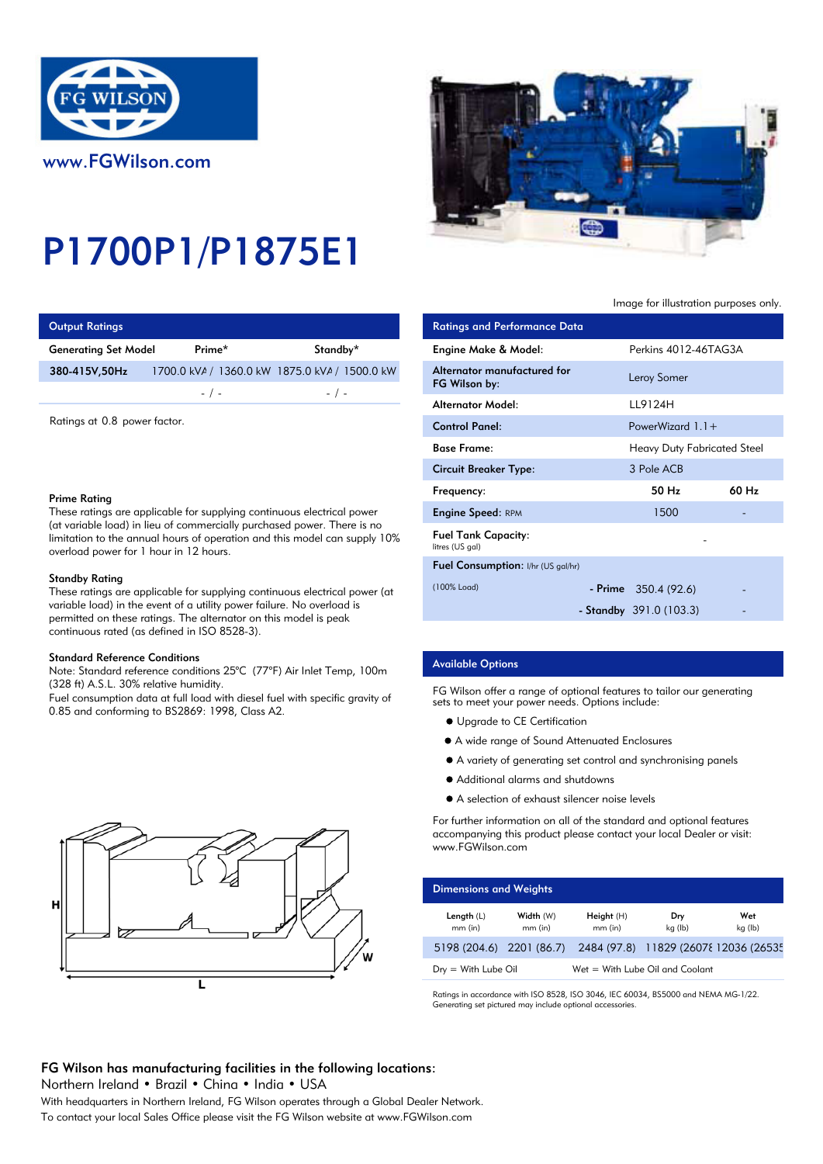

# P1700P1/P1875E1

| <b>Output Ratings</b>       |           |                                               | <b>Ratings and Performance Data</b> |
|-----------------------------|-----------|-----------------------------------------------|-------------------------------------|
| <b>Generating Set Model</b> | Prime*    | Standby*                                      | Engine Make & Model:                |
| 380-415V,50Hz               |           | 1700.0 kVA / 1360.0 kW 1875.0 kVA / 1500.0 kW | Alternator manufactured for         |
|                             | $-$ / $-$ | $-$ / $-$                                     | FG Wilson by:                       |
|                             |           |                                               | Altomator Model.                    |

### Prime Rating

## Standby Rating

These ratings are applicable for supplying continuous electrical power (at variable load) in the event of a utility power failure. No overload is permitted on these ratings. The alternator on this model is peak continuous rated (as defined in ISO 8528-3).

#### Standard Reference Conditions

Note: Standard reference conditions 25°C (77°F) Air Inlet Temp, 100m (328 ft) A.S.L. 30% relative humidity.

Fuel consumption data at full load with diesel fuel with specific gravity of 0.85 and conforming to BS2869: 1998, Class A2.





## Image for illustration purposes only.

| Output Ratings                                                                                                                                                                                                                                                              |           |                                               | <b>Ratings and Performance Data</b>           |                                    |       |
|-----------------------------------------------------------------------------------------------------------------------------------------------------------------------------------------------------------------------------------------------------------------------------|-----------|-----------------------------------------------|-----------------------------------------------|------------------------------------|-------|
| Generating Set Model                                                                                                                                                                                                                                                        | Prime*    | Standby*                                      | Engine Make & Model:                          | Perkins 4012-46TAG3A               |       |
| 380-415V,50Hz                                                                                                                                                                                                                                                               |           | 1700.0 kVA / 1360.0 kW 1875.0 kVA / 1500.0 kW | Alternator manufactured for<br>FG Wilson by:  | Leroy Somer                        |       |
|                                                                                                                                                                                                                                                                             | $-$ / $-$ | $-$ / $-$                                     | Alternator Model:                             | LL9124H                            |       |
| Ratings at 0.8 power factor.                                                                                                                                                                                                                                                |           |                                               | <b>Control Panel:</b>                         | PowerWizard $1.1 +$                |       |
|                                                                                                                                                                                                                                                                             |           |                                               | <b>Base Frame:</b>                            | <b>Heavy Duty Fabricated Steel</b> |       |
|                                                                                                                                                                                                                                                                             |           | <b>Circuit Breaker Type:</b>                  | 3 Pole ACB                                    |                                    |       |
| Prime Ratina                                                                                                                                                                                                                                                                |           |                                               | Frequency:                                    | 50 Hz                              | 60 Hz |
| These ratings are applicable for supplying continuous electrical power<br>(at variable load) in lieu of commercially purchased power. There is no<br>limitation to the annual hours of operation and this model can supply $10\%$<br>overload power for 1 hour in 12 hours. |           |                                               | <b>Engine Speed: RPM</b>                      | 1500                               |       |
|                                                                                                                                                                                                                                                                             |           |                                               | <b>Fuel Tank Capacity:</b><br>litres (US gal) |                                    |       |
| Standby Rating<br>These ratings are applicable for supplying continuous electrical power (at                                                                                                                                                                                |           | Fuel Consumption: I/hr (US gal/hr)            |                                               |                                    |       |
|                                                                                                                                                                                                                                                                             |           | (100% Load)                                   | $-$ Prime 350.4 (92.6)                        |                                    |       |
| variable load) in the event of a utility power failure. No overload is<br>the second contract of the second contract of the second contract of the second contract of the second second o                                                                                   |           |                                               |                                               | - Standby $391.0(103.3)$           |       |

## Available Options

FG Wilson offer a range of optional features to tailor our generating sets to meet your power needs. Options include:

- $\bullet$  Upgrade to CE Certification
- A wide range of Sound Attenuated Enclosures
- A variety of generating set control and synchronising panels
- Additional alarms and shutdowns
- A selection of exhaust silencer noise levels

For further information on all of the standard and optional features accompanying this product please contact your local Dealer or visit: www.FGWilson.com

| <b>Dimensions and Weights</b> |                        |                         |                                      |                |
|-------------------------------|------------------------|-------------------------|--------------------------------------|----------------|
| Length $(L)$<br>$mm$ (in)     | Width (W)<br>$mm$ (in) | Height (H)<br>$mm$ (in) | Dry<br>kg (lb)                       | Wet<br>kg (lb) |
| 5198 (204.6) 2201 (86.7)      |                        |                         | 2484 (97.8) 11829 (2607{12036 (2653} |                |
| $Drv = With Lube$ Oil         |                        |                         | Wet = With Lube Oil and Coolant      |                |

Ratings in accordance with ISO 8528, ISO 3046, IEC 60034, BS5000 and NEMA MG-1/22. Generating set pictured may include optional accessories.

# FG Wilson has manufacturing facilities in the following locations:

Northern Ireland • Brazil • China • India • USA

With headquarters in Northern Ireland, FG Wilson operates through a Global Dealer Network. To contact your local Sales Office please visit the FG Wilson website at www.FGWilson.com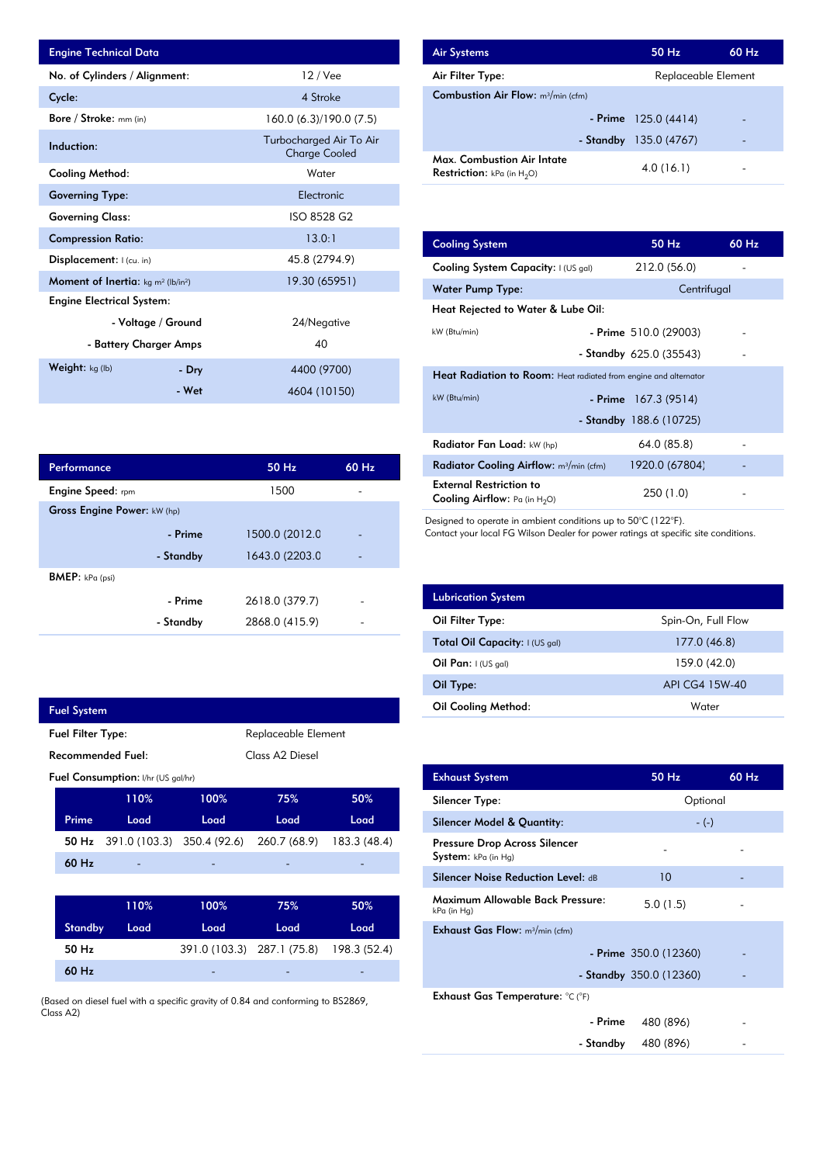| <b>Engine Technical Data</b>                               |                    |                                                 | <b>Air Systems</b>  |
|------------------------------------------------------------|--------------------|-------------------------------------------------|---------------------|
| No. of Cylinders / Alignment:                              |                    | $12$ / Vee                                      | Air Filter Ty       |
| Cycle:                                                     |                    | 4 Stroke                                        | Combustion          |
| Bore / Stroke: mm (in)                                     |                    | 160.0 (6.3)/190.0 (7.5)                         |                     |
| Induction:                                                 |                    | Turbocharged Air To Air<br><b>Charge Cooled</b> | Max. Comb           |
| Cooling Method:                                            |                    | Water                                           | <b>Restriction:</b> |
| <b>Governing Type:</b>                                     |                    | Electronic                                      |                     |
| <b>Governing Class:</b>                                    |                    | ISO 8528 G2                                     |                     |
| <b>Compression Ratio:</b>                                  |                    | 13.0:1                                          | <b>Cooling Sys</b>  |
| Displacement: I (cu. in)                                   |                    | 45.8 (2794.9)                                   | <b>Cooling Sys</b>  |
| Moment of Inertia: kg m <sup>2</sup> (lb/in <sup>2</sup> ) |                    | 19.30 (65951)                                   | Water Pum           |
| <b>Engine Electrical System:</b>                           |                    |                                                 | <b>Heat Reject</b>  |
|                                                            | - Voltage / Ground | 24/Negative                                     | kW (Btu/min)        |
| - Battery Charger Amps                                     |                    | 40                                              |                     |
| Weight: kg (lb)                                            | - Dry              | 4400 (9700)                                     | <b>Heat Radia</b>   |
|                                                            | - Wet              | 4604 (10150)                                    | $kW$ (Btu/min)      |

| Performance                 |           | 50 Hz          | 60 Hz |
|-----------------------------|-----------|----------------|-------|
| <b>Engine Speed:</b> rpm    |           | 1500           |       |
| Gross Engine Power: kW (hp) |           |                |       |
|                             | - Prime   | 1500.0 (2012.0 |       |
|                             | - Standby | 1643.0 (2203.0 |       |
| <b>BMEP:</b> $kPa$ (psi)    |           |                |       |
|                             | - Prime   | 2618.0 (379.7) |       |
|                             | - Standby | 2868.0 (415.9) |       |

|                                                 | <b>Fuel System</b>                          |                                    |                            |                            |              |
|-------------------------------------------------|---------------------------------------------|------------------------------------|----------------------------|----------------------------|--------------|
| <b>Fuel Filter Type:</b><br>Replaceable Element |                                             |                                    |                            |                            |              |
|                                                 | Class A2 Diesel<br><b>Recommended Fuel:</b> |                                    |                            |                            |              |
|                                                 |                                             | Fuel Consumption: I/hr (US gal/hr) |                            |                            |              |
|                                                 |                                             | 110%                               | 100%                       | 75%                        | 50%          |
|                                                 | Prime                                       | Load                               | Load                       | Load                       | Load         |
|                                                 | 50 Hz                                       |                                    | 391.0 (103.3) 350.4 (92.6) | 260.7 (68.9)               | 183.3 (48.4) |
|                                                 | 60 Hz                                       |                                    |                            |                            |              |
|                                                 |                                             |                                    |                            |                            |              |
|                                                 |                                             | 110%                               | 100%                       | 75%                        | 50%          |
|                                                 | <b>Standby</b>                              | Load                               | Load                       | Load                       | Load         |
|                                                 | 50 Hz                                       |                                    |                            | 391.0 (103.3) 287.1 (75.8) | 198.3 (52.4) |
|                                                 | 60 Hz                                       |                                    |                            |                            |              |
|                                                 |                                             |                                    |                            | .                          |              |

(Based on diesel fuel with a specific gravity of 0.84 and conforming to BS2869, Class A2)

| <b>Air Systems</b>                                                 | 50 Hz                    | 60 Hz |
|--------------------------------------------------------------------|--------------------------|-------|
| Air Filter Type:                                                   | Replaceable Element      |       |
| <b>Combustion Air Flow:</b> m <sup>3</sup> /min (cfm)              |                          |       |
|                                                                    | - Prime $125.0(4414)$    |       |
|                                                                    | - Standby $135.0 (4767)$ |       |
| Max. Combustion Air Intate<br><b>Restriction:</b> kPa (in $H_2O$ ) | 4.0(16.1)                |       |

| 13.0:1         | <b>Cooling System</b>                                                     | 50 Hz                     | 60 Hz |
|----------------|---------------------------------------------------------------------------|---------------------------|-------|
| 45.8 (2794.9)  | Cooling System Capacity: I (US gal)                                       | 212.0 (56.0)              |       |
| 19.30 (65951)  | <b>Water Pump Type:</b>                                                   | Centrifugal               |       |
|                | Heat Rejected to Water & Lube Oil:                                        |                           |       |
| 24/Negative    | kW (Btu/min)                                                              | - Prime $510.0(29003)$    |       |
| 40             |                                                                           | - Standby $625.0$ (35543) |       |
| 4400 (9700)    | <b>Heat Radiation to Room:</b> Heat radiated from engine and alternator   |                           |       |
| 4604 (10150)   | kW (Btu/min)                                                              | - Prime $167.3(9514)$     |       |
|                |                                                                           | - Standby $188.6(10725)$  |       |
|                | Radiator Fan Load: kW (hp)                                                | 64.0 (85.8)               |       |
| 50 Hz<br>60 Hz | Radiator Cooling Airflow: m <sup>3</sup> /min (cfm)                       | 1920.0 (67804)            |       |
| 1500           | <b>External Restriction to</b><br><b>Cooling Airflow:</b> Pa (in $H_2O$ ) | 250 (1.0)                 |       |

Designed to operate in ambient conditions up to 50°C (122°F).

Contact your local FG Wilson Dealer for power ratings at specific site conditions.

| <b>Lubrication System</b>      |                    |
|--------------------------------|--------------------|
| Oil Filter Type:               | Spin-On, Full Flow |
| Total Oil Capacity: I (US gal) | 177.0 (46.8)       |
| Oil Pan: $(US gal)$            | 159.0 (42.0)       |
| Oil Type:                      | API CG4 15W-40     |
| <b>Oil Cooling Method:</b>     | Water              |

| <b>Exhaust System</b>                                | 50 Hz                     | 60 Hz |
|------------------------------------------------------|---------------------------|-------|
| Silencer Type:                                       | Optional                  |       |
| <b>Silencer Model &amp; Quantity:</b>                | $-(-)$                    |       |
| Pressure Drop Across Silencer<br>System: kPa (in Hg) |                           |       |
| Silencer Noise Reduction Level: dB                   | 10                        |       |
| Maximum Allowable Back Pressure:<br>kPa (in Hg)      | 5.0(1.5)                  |       |
| <b>Exhaust Gas Flow:</b> $m^3/m$ in (cfm)            |                           |       |
|                                                      | $-$ Prime 350.0 (12360)   |       |
|                                                      | - Standby $350.0$ (12360) |       |
| Exhaust Gas Temperature: °C (°F)                     |                           |       |
| - Prime                                              | 480 (896)                 |       |
| - Standby                                            | 480 (896)                 |       |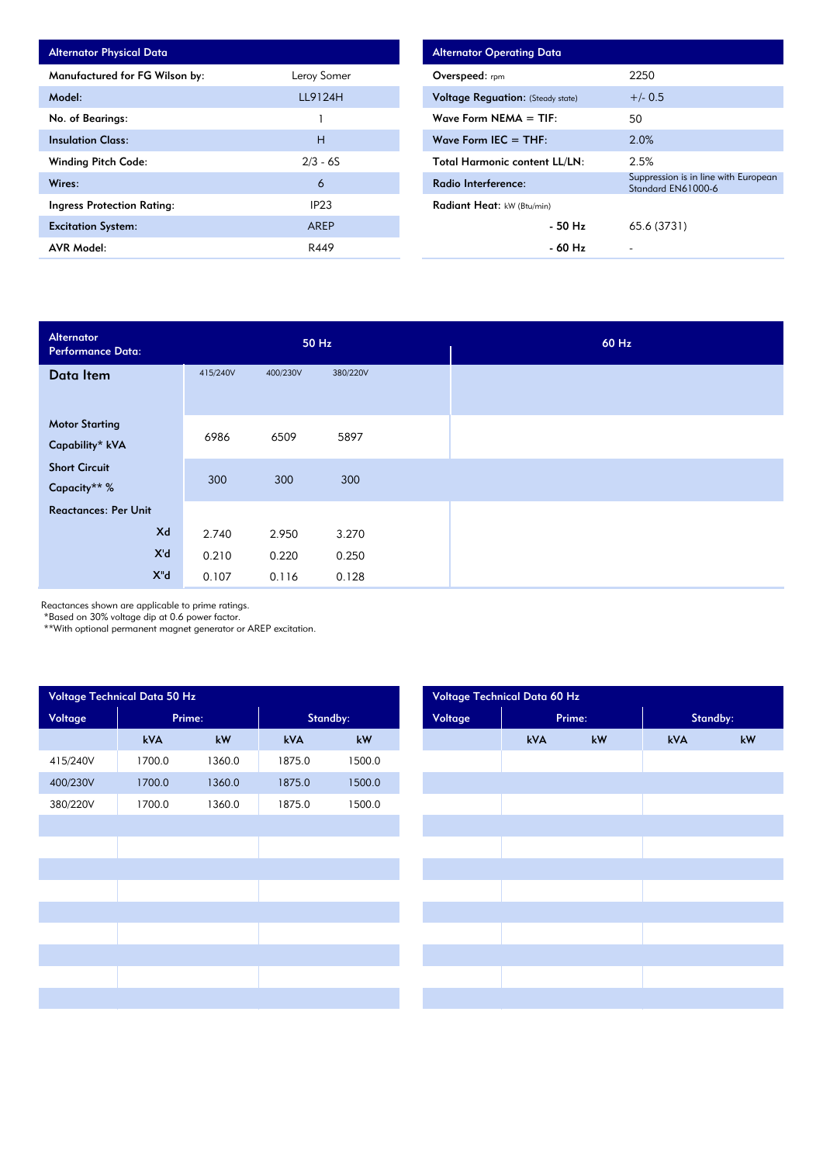| <b>Alternator Physical Data</b> |             |
|---------------------------------|-------------|
| Manufactured for FG Wilson by:  | Leroy Somer |
| Model:                          | LL9124H     |
| No. of Bearings:                |             |
| <b>Insulation Class:</b>        | н           |
| <b>Winding Pitch Code:</b>      | $2/3 - 6S$  |
| Wires:                          | 6           |
| Ingress Protection Rating:      | IP23        |
| <b>Excitation System:</b>       | AREP        |
| AVR Model:                      | R449        |

| <b>Alternator Operating Data</b>         |                                                            |
|------------------------------------------|------------------------------------------------------------|
| <b>Overspeed:</b> rpm                    | 2250                                                       |
| <b>Voltage Reguation:</b> (Steady state) | $+/- 0.5$                                                  |
| Wave Form NEMA $=$ TIF:                  | 50                                                         |
| Wave Form IEC $=$ THF:                   | 2.0%                                                       |
| <b>Total Harmonic content LL/LN:</b>     | 2.5%                                                       |
| Radio Interference:                      | Suppression is in line with European<br>Standard EN61000-6 |
| <b>Radiant Heat:</b> kW (Btu/min)        |                                                            |
| - 50 Hz                                  | 65.6 (3731)                                                |
| - 60 Hz                                  |                                                            |

| Alternator<br><b>Performance Data:</b> |          | 50 Hz    |          |  |  |
|----------------------------------------|----------|----------|----------|--|--|
| Data Item                              | 415/240V | 400/230V | 380/220V |  |  |
|                                        |          |          |          |  |  |
| <b>Motor Starting</b>                  | 6986     | 6509     | 5897     |  |  |
| Capability* kVA                        |          |          |          |  |  |
| <b>Short Circuit</b>                   | 300      | 300      | 300      |  |  |
| Capacity** %                           |          |          |          |  |  |
| <b>Reactances: Per Unit</b>            |          |          |          |  |  |
| Xd                                     | 2.740    | 2.950    | 3.270    |  |  |
| X'd                                    | 0.210    | 0.220    | 0.250    |  |  |
| $X^{\prime\prime}$ d                   | 0.107    | 0.116    | 0.128    |  |  |

Reactances shown are applicable to prime ratings.

\*Based on 30% voltage dip at 0.6 power factor.

\*\*With optional permanent magnet generator or AREP excitation.

| Voltage Technical Data 50 Hz |        |        |          |        | Voltage Technical Data 60 Hz |     |        |     |          |  |  |
|------------------------------|--------|--------|----------|--------|------------------------------|-----|--------|-----|----------|--|--|
| Voltage                      | Prime: |        | Standby: |        | Voltage                      |     | Prime: |     | Standby: |  |  |
|                              | kVA    | kW     | kVA      | $kW$   |                              | kVA | kW     | kVA | kW       |  |  |
| 415/240V                     | 1700.0 | 1360.0 | 1875.0   | 1500.0 |                              |     |        |     |          |  |  |
| 400/230V                     | 1700.0 | 1360.0 | 1875.0   | 1500.0 |                              |     |        |     |          |  |  |
| 380/220V                     | 1700.0 | 1360.0 | 1875.0   | 1500.0 |                              |     |        |     |          |  |  |
|                              |        |        |          |        |                              |     |        |     |          |  |  |
|                              |        |        |          |        |                              |     |        |     |          |  |  |
|                              |        |        |          |        |                              |     |        |     |          |  |  |
|                              |        |        |          |        |                              |     |        |     |          |  |  |
|                              |        |        |          |        |                              |     |        |     |          |  |  |
|                              |        |        |          |        |                              |     |        |     |          |  |  |
|                              |        |        |          |        |                              |     |        |     |          |  |  |
|                              |        |        |          |        |                              |     |        |     |          |  |  |
|                              |        |        |          |        |                              |     |        |     |          |  |  |